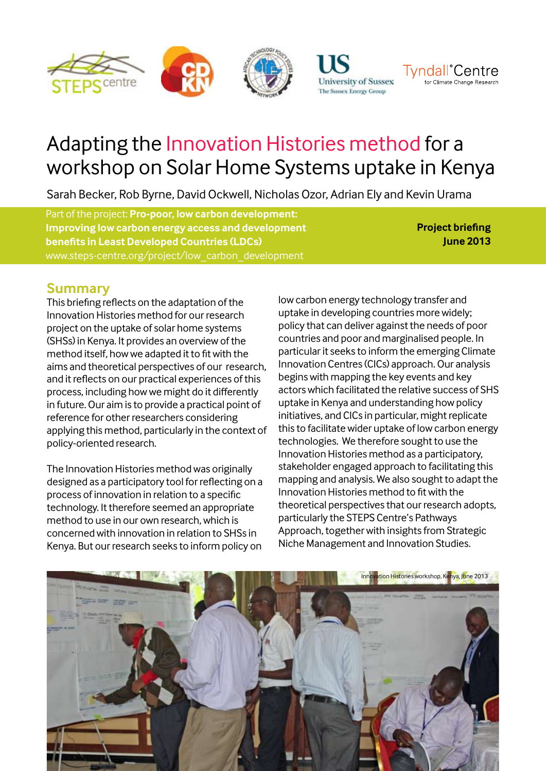



# Adapting the Innovation Histories method for a workshop on Solar Home Systems uptake in Kenya

Sarah Becker, Rob Byrne, David Ockwell, Nicholas Ozor, Adrian Ely and Kevin Urama

Part of the project: **Pro-poor, low carbon development: Improving low carbon energy access and development benefits in Least Developed Countries (LDCs)**  www.steps-centre.org/project/low\_carbon\_development

**Project briefing June 2013**

**Tyndall**°Centre

for Climate Change Research

### **Summary**

This briefing reflects on the adaptation of the Innovation Histories method for our research project on the uptake of solar home systems (SHSs) in Kenya. It provides an overview of the method itself, how we adapted it to fit with the aims and theoretical perspectives of our research, and it reflects on our practical experiences of this process, including how we might do it differently in future. Our aim is to provide a practical point of reference for other researchers considering applying this method, particularly in the context of policy-oriented research.

The Innovation Histories method was originally designed as a participatory tool for reflecting on a process of innovation in relation to a specific technology. It therefore seemed an appropriate method to use in our own research, which is concerned with innovation in relation to SHSs in Kenya. But our research seeks to inform policy on

low carbon energy technology transfer and uptake in developing countries more widely; policy that can deliver against the needs of poor countries and poor and marginalised people. In particular it seeks to inform the emerging Climate Innovation Centres (CICs) approach. Our analysis begins with mapping the key events and key actors which facilitated the relative success of SHS uptake in Kenya and understanding how policy initiatives, and CICs in particular, might replicate this to facilitate wider uptake of low carbon energy technologies. We therefore sought to use the Innovation Histories method as a participatory, stakeholder engaged approach to facilitating this mapping and analysis. We also sought to adapt the Innovation Histories method to fit with the theoretical perspectives that our research adopts, particularly the STEPS Centre's Pathways Approach, together with insights from Strategic Niche Management and Innovation Studies.

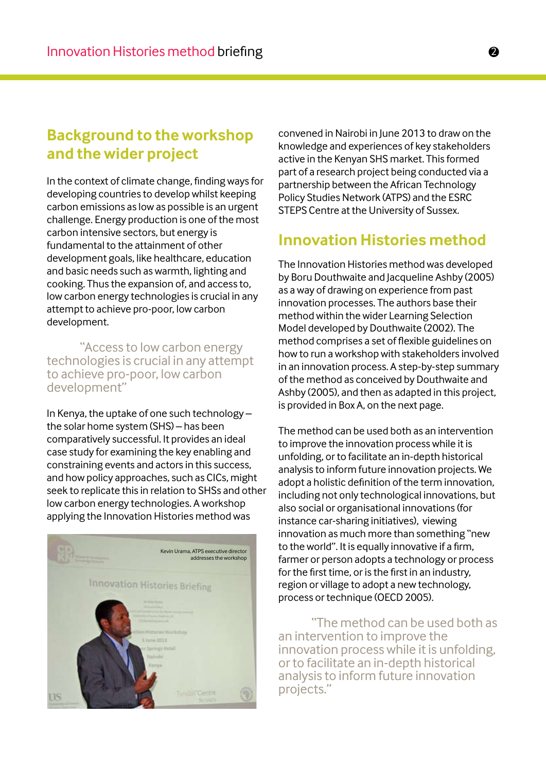## **Background to the workshop and the wider project**

In the context of climate change, finding ways for developing countries to develop whilst keeping carbon emissions as low as possible is an urgent challenge. Energy production is one of the most carbon intensive sectors, but energy is fundamental to the attainment of other development goals, like healthcare, education and basic needs such as warmth, lighting and cooking. Thus the expansion of, and access to, low carbon energy technologies is crucial in any attempt to achieve pro-poor, low carbon development.

"Access to low carbon energy technologies is crucial in any attempt to achieve pro-poor, low carbon development"

In Kenya, the uptake of one such technology – the solar home system (SHS) – has been comparatively successful. It provides an ideal case study for examining the key enabling and constraining events and actors in this success, and how policy approaches, such as CICs, might seek to replicate this in relation to SHSs and other low carbon energy technologies. A workshop applying the Innovation Histories method was



convened in Nairobi in June 2013 to draw on the knowledge and experiences of key stakeholders active in the Kenyan SHS market. This formed part of a research project being conducted via a partnership between the African Technology Policy Studies Network (ATPS) and the ESRC STEPS Centre at the University of Sussex.

## **Innovation Histories method**

The Innovation Histories method was developed by Boru Douthwaite and Jacqueline Ashby (2005) as a way of drawing on experience from past innovation processes. The authors base their method within the wider Learning Selection Model developed by Douthwaite (2002). The method comprises a set of flexible guidelines on how to run a workshop with stakeholders involved in an innovation process. A step-by-step summary of the method as conceived by Douthwaite and Ashby (2005), and then as adapted in this project, is provided in Box A, on the next page.

The method can be used both as an intervention to improve the innovation process while it is unfolding, or to facilitate an in-depth historical analysis to inform future innovation projects. We adopt a holistic definition of the term innovation, including not only technological innovations, but also social or organisational innovations (for instance car-sharing initiatives), viewing innovation as much more than something "new to the world". It is equally innovative if a firm, farmer or person adopts a technology or process for the first time, or is the first in an industry, region or village to adopt a new technology, process or technique (OECD 2005).

"The method can be used both as an intervention to improve the innovation process while it is unfolding, or to facilitate an in-depth historical analysis to inform future innovation projects."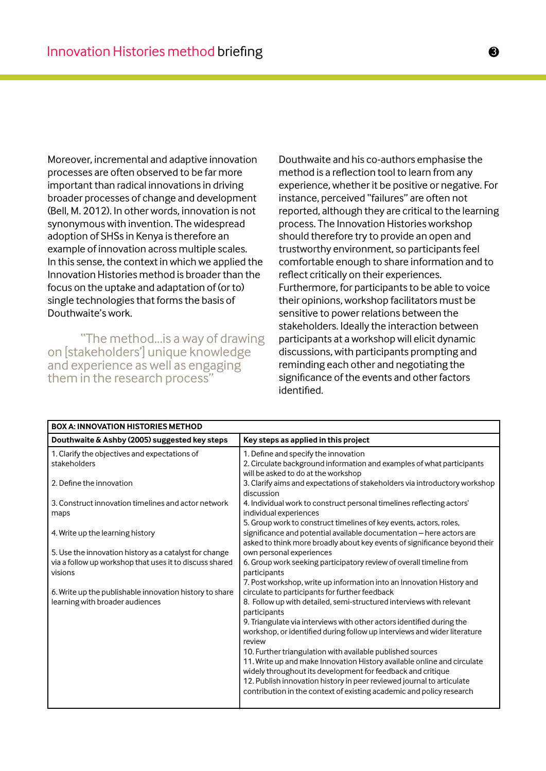Moreover, incremental and adaptive innovation processes are often observed to be far more important than radical innovations in driving broader processes of change and development (Bell, M. 2012). In other words, innovation is not synonymous with invention. The widespread adoption of SHSs in Kenya is therefore an example of innovation across multiple scales. In this sense, the context in which we applied the Innovation Histories method is broader than the focus on the uptake and adaptation of (or to) single technologies that forms the basis of Douthwaite's work.

"The method...is a way of drawing on [stakeholders'] unique knowledge and experience as well as engaging them in the research process"

Douthwaite and his co-authors emphasise the method is a reflection tool to learn from any experience, whether it be positive or negative. For instance, perceived "failures" are often not reported, although they are critical to the learning process. The Innovation Histories workshop should therefore try to provide an open and trustworthy environment, so participants feel comfortable enough to share information and to reflect critically on their experiences. Furthermore, for participants to be able to voice their opinions, workshop facilitators must be sensitive to power relations between the stakeholders. Ideally the interaction between participants at a workshop will elicit dynamic discussions, with participants prompting and reminding each other and negotiating the significance of the events and other factors identified.

| <b>BOX A: INNOVATION HISTORIES METHOD</b>                                                                                                                                                                                                                                                                         |                                                                                                                                                                                                                                                                                                                                                                                                                                                                                                                                                                                                                                                                                                                                                         |  |  |  |
|-------------------------------------------------------------------------------------------------------------------------------------------------------------------------------------------------------------------------------------------------------------------------------------------------------------------|---------------------------------------------------------------------------------------------------------------------------------------------------------------------------------------------------------------------------------------------------------------------------------------------------------------------------------------------------------------------------------------------------------------------------------------------------------------------------------------------------------------------------------------------------------------------------------------------------------------------------------------------------------------------------------------------------------------------------------------------------------|--|--|--|
| Douthwaite & Ashby (2005) suggested key steps                                                                                                                                                                                                                                                                     | Key steps as applied in this project                                                                                                                                                                                                                                                                                                                                                                                                                                                                                                                                                                                                                                                                                                                    |  |  |  |
| 1. Clarify the objectives and expectations of<br>stakeholders<br>2. Define the innovation<br>3. Construct innovation timelines and actor network<br>maps<br>4. Write up the learning history<br>5. Use the innovation history as a catalyst for change<br>via a follow up workshop that uses it to discuss shared | 1. Define and specify the innovation<br>2. Circulate background information and examples of what participants<br>will be asked to do at the workshop<br>3. Clarify aims and expectations of stakeholders via introductory workshop<br>discussion<br>4. Individual work to construct personal timelines reflecting actors'<br>individual experiences<br>5. Group work to construct timelines of key events, actors, roles,<br>significance and potential available documentation - here actors are<br>asked to think more broadly about key events of significance beyond their<br>own personal experiences<br>6. Group work seeking participatory review of overall timeline from                                                                       |  |  |  |
| visions<br>6. Write up the publishable innovation history to share<br>learning with broader audiences                                                                                                                                                                                                             | participants<br>7. Post workshop, write up information into an Innovation History and<br>circulate to participants for further feedback<br>8. Follow up with detailed, semi-structured interviews with relevant<br>participants<br>9. Triangulate via interviews with other actors identified during the<br>workshop, or identified during follow up interviews and wider literature<br>review<br>10. Further triangulation with available published sources<br>11. Write up and make Innovation History available online and circulate<br>widely throughout its development for feedback and critique<br>12. Publish innovation history in peer reviewed journal to articulate<br>contribution in the context of existing academic and policy research |  |  |  |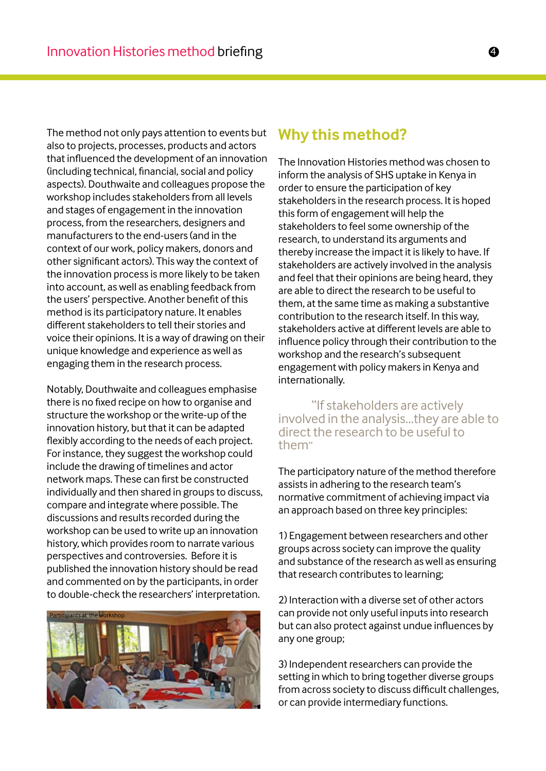The method not only pays attention to events but also to projects, processes, products and actors that influenced the development of an innovation (including technical, financial, social and policy aspects). Douthwaite and colleagues propose the workshop includes stakeholders from all levels and stages of engagement in the innovation process, from the researchers, designers and manufacturers to the end-users (and in the context of our work, policy makers, donors and other significant actors). This way the context of the innovation process is more likely to be taken into account, as well as enabling feedback from the users' perspective. Another benefit of this method is its participatory nature. It enables different stakeholders to tell their stories and voice their opinions. It is a way of drawing on their unique knowledge and experience as well as engaging them in the research process.

Notably, Douthwaite and colleagues emphasise there is no fixed recipe on how to organise and structure the workshop or the write-up of the innovation history, but that it can be adapted flexibly according to the needs of each project. For instance, they suggest the workshop could include the drawing of timelines and actor network maps. These can first be constructed individually and then shared in groups to discuss, compare and integrate where possible. The discussions and results recorded during the workshop can be used to write up an innovation history, which provides room to narrate various perspectives and controversies. Before it is published the innovation history should be read and commented on by the participants, in order to double-check the researchers' interpretation.



## **Why this method?**

The Innovation Histories method was chosen to inform the analysis of SHS uptake in Kenya in order to ensure the participation of key stakeholders in the research process. It is hoped this form of engagement will help the stakeholders to feel some ownership of the research, to understand its arguments and thereby increase the impact it is likely to have. If stakeholders are actively involved in the analysis and feel that their opinions are being heard, they are able to direct the research to be useful to them, at the same time as making a substantive contribution to the research itself. In this way, stakeholders active at different levels are able to influence policy through their contribution to the workshop and the research's subsequent engagement with policy makers in Kenya and internationally.

"If stakeholders are actively involved in the analysis...they are able to direct the research to be useful to them"

The participatory nature of the method therefore assists in adhering to the research team's normative commitment of achieving impact via an approach based on three key principles:

1) Engagement between researchers and other groups across society can improve the quality and substance of the research as well as ensuring that research contributes to learning;

2) Interaction with a diverse set of other actors can provide not only useful inputs into research but can also protect against undue influences by any one group;

3) Independent researchers can provide the setting in which to bring together diverse groups from across society to discuss difficult challenges, or can provide intermediary functions.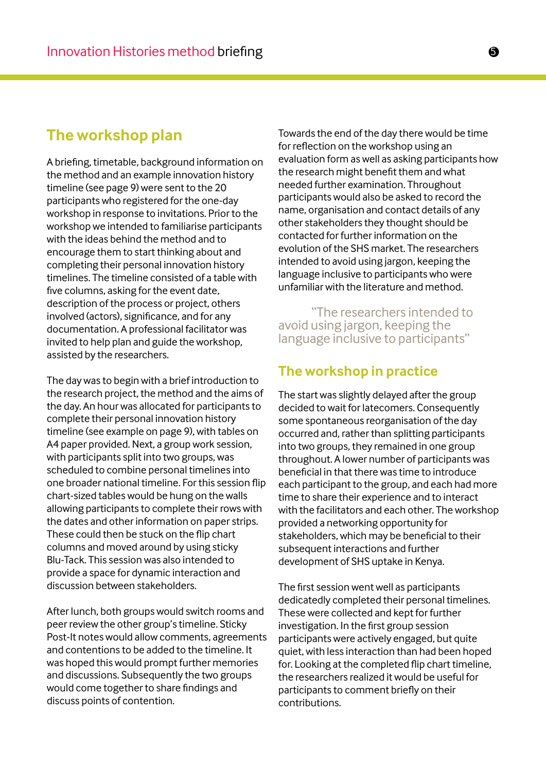## **The workshop plan**

A briefing, timetable, background information on the method and an example innovation history timeline (see page 9) were sent to the 20 participants who registered for the one-day workshop in response to invitations. Prior to the workshop we intended to familiarise participants with the ideas behind the method and to encourage them to start thinking about and completing their personal innovation history timelines. The timeline consisted of a table with five columns, asking for the event date, description of the process or project, others involved (actors), significance, and for any documentation. A professional facilitator was invited to help plan and guide the workshop, assisted by the researchers.

The day was to begin with a brief introduction to the research project, the method and the aims of the day. An hour was allocated for participants to complete their personal innovation history timeline (see example on page 9), with tables on A4 paper provided. Next, a group work session, with participants split into two groups, was scheduled to combine personal timelines into one broader national timeline. For this session flip chart-sized tables would be hung on the walls allowing participants to complete their rows with the dates and other information on paper strips. These could then be stuck on the flip chart columns and moved around by using sticky Blu-Tack. This session was also intended to provide a space for dynamic interaction and discussion between stakeholders.

After lunch, both groups would switch rooms and peer review the other group's timeline. Sticky Post-It notes would allow comments, agreements and contentions to be added to the timeline. It was hoped this would prompt further memories and discussions. Subsequently the two groups would come together to share findings and discuss points of contention.

Towards the end of the day there would be time for reflection on the workshop using an evaluation form as well as asking participants how the research might benefit them and what needed further examination. Throughout participants would also be asked to record the name, organisation and contact details of any other stakeholders they thought should be contacted for further information on the evolution of the SHS market. The researchers intended to avoid using jargon, keeping the language inclusive to participants who were unfamiliar with the literature and method.

"The researchers intended to avoid using jargon, keeping the language inclusive to participants"

#### **The workshop in practice**

The start was slightly delayed after the group decided to wait for latecomers. Consequently some spontaneous reorganisation of the day occurred and, rather than splitting participants into two groups, they remained in one group throughout. A lower number of participants was beneficial in that there was time to introduce each participant to the group, and each had more time to share their experience and to interact with the facilitators and each other. The workshop provided a networking opportunity for stakeholders, which may be beneficial to their subsequent interactions and further development of SHS uptake in Kenya.

The first session went well as participants dedicatedly completed their personal timelines. These were collected and kept for further investigation. In the first group session participants were actively engaged, but quite quiet, with less interaction than had been hoped for. Looking at the completed flip chart timeline, the researchers realized it would be useful for participants to comment briefly on their contributions.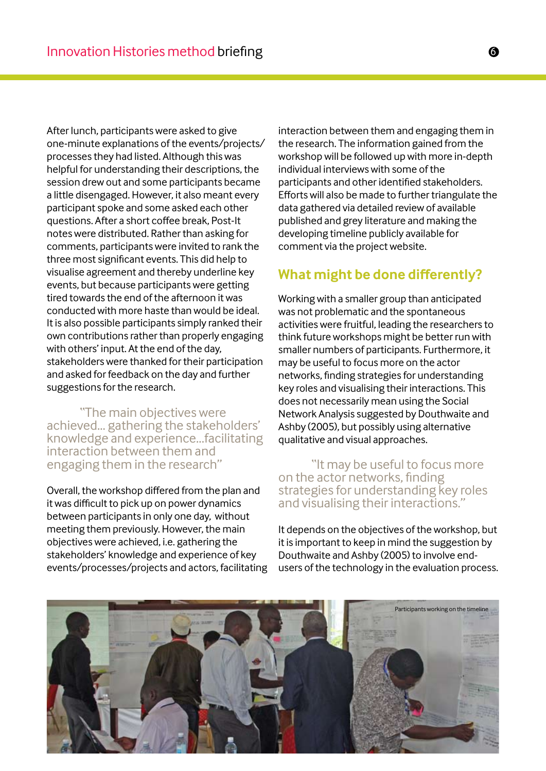After lunch, participants were asked to give one-minute explanations of the events/projects/ processes they had listed. Although this was helpful for understanding their descriptions, the session drew out and some participants became a little disengaged. However, it also meant every participant spoke and some asked each other questions. After a short coffee break, Post-It notes were distributed. Rather than asking for comments, participants were invited to rank the three most significant events. This did help to visualise agreement and thereby underline key events, but because participants were getting tired towards the end of the afternoon it was conducted with more haste than would be ideal. It is also possible participants simply ranked their own contributions rather than properly engaging with others' input. At the end of the day, stakeholders were thanked for their participation and asked for feedback on the day and further suggestions for the research.

"The main objectives were achieved... gathering the stakeholders' knowledge and experience...facilitating interaction between them and engaging them in the research"

Overall, the workshop differed from the plan and it was difficult to pick up on power dynamics between participants in only one day, without meeting them previously. However, the main objectives were achieved, i.e. gathering the stakeholders' knowledge and experience of key events/processes/projects and actors, facilitating

interaction between them and engaging them in the research. The information gained from the workshop will be followed up with more in-depth individual interviews with some of the participants and other identified stakeholders. Efforts will also be made to further triangulate the data gathered via detailed review of available published and grey literature and making the developing timeline publicly available for comment via the project website.

#### **What might be done differently?**

Working with a smaller group than anticipated was not problematic and the spontaneous activities were fruitful, leading the researchers to think future workshops might be better run with smaller numbers of participants. Furthermore, it may be useful to focus more on the actor networks, finding strategies for understanding key roles and visualising their interactions. This does not necessarily mean using the Social Network Analysis suggested by Douthwaite and Ashby (2005), but possibly using alternative qualitative and visual approaches.

"It may be useful to focus more on the actor networks, finding strategies for understanding key roles and visualising their interactions."

It depends on the objectives of the workshop, but it is important to keep in mind the suggestion by Douthwaite and Ashby (2005) to involve endusers of the technology in the evaluation process.

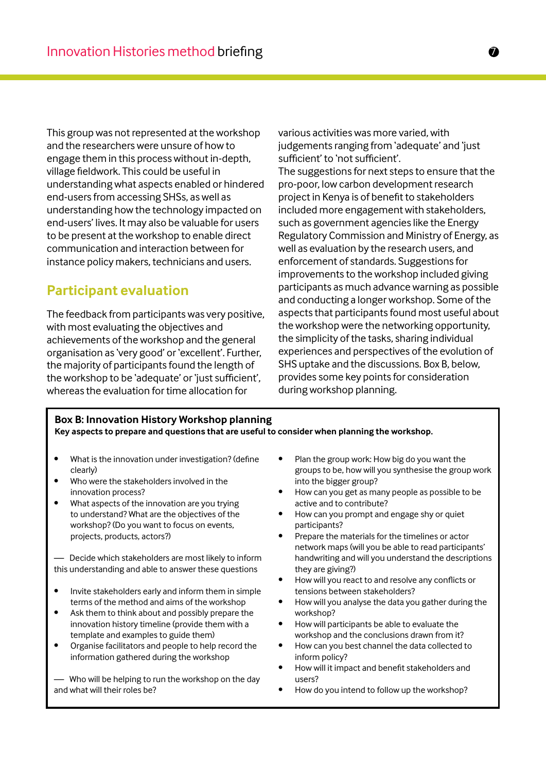This group was not represented at the workshop and the researchers were unsure of how to engage them in this process without in-depth, village fieldwork. This could be useful in understanding what aspects enabled or hindered end-users from accessing SHSs, as well as understanding how the technology impacted on end-users' lives. It may also be valuable for users to be present at the workshop to enable direct communication and interaction between for instance policy makers, technicians and users.

### **Participant evaluation**

The feedback from participants was very positive, with most evaluating the objectives and achievements of the workshop and the general organisation as 'very good' or 'excellent'. Further, the majority of participants found the length of the workshop to be 'adequate' or 'just sufficient', whereas the evaluation for time allocation for

various activities was more varied, with judgements ranging from 'adequate' and 'just sufficient' to 'not sufficient'. The suggestions for next steps to ensure that the pro-poor, low carbon development research project in Kenya is of benefit to stakeholders included more engagement with stakeholders, such as government agencies like the Energy Regulatory Commission and Ministry of Energy, as well as evaluation by the research users, and enforcement of standards. Suggestions for improvements to the workshop included giving participants as much advance warning as possible and conducting a longer workshop. Some of the aspects that participants found most useful about the workshop were the networking opportunity, the simplicity of the tasks, sharing individual experiences and perspectives of the evolution of SHS uptake and the discussions. Box B, below, provides some key points for consideration during workshop planning.

#### **Box B: Innovation History Workshop planning Key aspects to prepare and questions that are useful to consider when planning the workshop.**

- What is the innovation under investigation? (define clearly)
- Who were the stakeholders involved in the innovation process?
- What aspects of the innovation are you trying to understand? What are the objectives of the workshop? (Do you want to focus on events, projects, products, actors?)

— Decide which stakeholders are most likely to inform this understanding and able to answer these questions

- Invite stakeholders early and inform them in simple terms of the method and aims of the workshop
- Ask them to think about and possibly prepare the innovation history timeline (provide them with a template and examples to guide them)
- Organise facilitators and people to help record the information gathered during the workshop

— Who will be helping to run the workshop on the day and what will their roles be?

- Plan the group work: How big do you want the groups to be, how will you synthesise the group work into the bigger group?
- How can you get as many people as possible to be active and to contribute?
- How can you prompt and engage shy or quiet participants?
- Prepare the materials for the timelines or actor network maps (will you be able to read participants' handwriting and will you understand the descriptions they are giving?)
- How will you react to and resolve any conflicts or tensions between stakeholders?
- How will you analyse the data you gather during the workshop?
- How will participants be able to evaluate the workshop and the conclusions drawn from it?
- How can you best channel the data collected to inform policy?
- How will it impact and benefit stakeholders and users?
- How do you intend to follow up the workshop?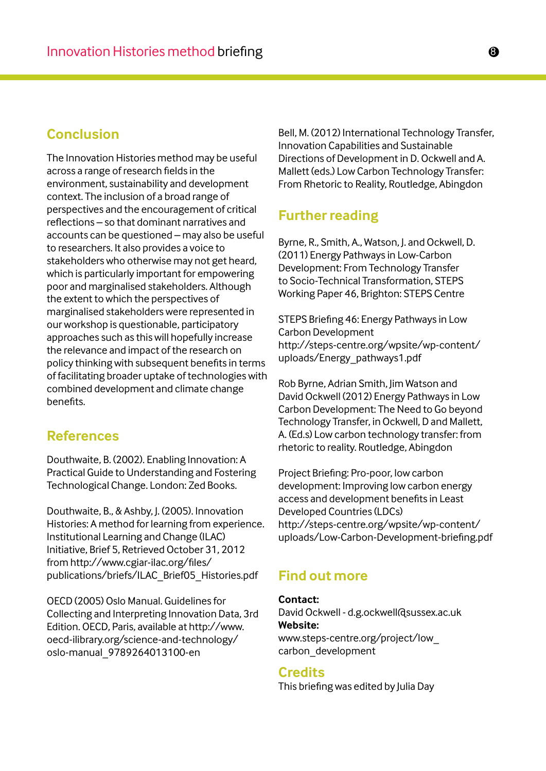#### **Conclusion**

The Innovation Histories method may be useful across a range of research fields in the environment, sustainability and development context. The inclusion of a broad range of perspectives and the encouragement of critical reflections – so that dominant narratives and accounts can be questioned – may also be useful to researchers. It also provides a voice to stakeholders who otherwise may not get heard, which is particularly important for empowering poor and marginalised stakeholders. Although the extent to which the perspectives of marginalised stakeholders were represented in our workshop is questionable, participatory approaches such as this will hopefully increase the relevance and impact of the research on policy thinking with subsequent benefits in terms of facilitating broader uptake of technologies with combined development and climate change benefits.

#### **References**

Douthwaite, B. (2002). Enabling Innovation: A Practical Guide to Understanding and Fostering Technological Change. London: Zed Books.

Douthwaite, B., & Ashby, J. (2005). Innovation Histories: A method for learning from experience. Institutional Learning and Change (ILAC) Initiative, Brief 5, Retrieved October 31, 2012 from http://www.cgiar-ilac.org/files/ publications/briefs/ILAC\_Brief05\_Histories.pdf

OECD (2005) Oslo Manual. Guidelines for Collecting and Interpreting Innovation Data, 3rd Edition. OECD, Paris, available at http://www. oecd-ilibrary.org/science-and-technology/ oslo-manual\_9789264013100-en

Bell, M. (2012) International Technology Transfer, Innovation Capabilities and Sustainable Directions of Development in D. Ockwell and A. Mallett (eds.) Low Carbon Technology Transfer: From Rhetoric to Reality, Routledge, Abingdon

#### **Further reading**

Byrne, R., Smith, A., Watson, J. and Ockwell, D. (2011) Energy Pathways in Low-Carbon Development: From Technology Transfer to Socio-Technical Transformation, STEPS Working Paper 46, Brighton: STEPS Centre

STEPS Briefing 46: Energy Pathways in Low Carbon Development http://steps-centre.org/wpsite/wp-content/ uploads/Energy\_pathways1.pdf

Rob Byrne, Adrian Smith, Jim Watson and David Ockwell (2012) Energy Pathways in Low Carbon Development: The Need to Go beyond Technology Transfer, in Ockwell, D and Mallett, A. (Ed.s) Low carbon technology transfer: from rhetoric to reality. Routledge, Abingdon

Project Briefing: Pro-poor, low carbon development: Improving low carbon energy access and development benefits in Least Developed Countries (LDCs) http://steps-centre.org/wpsite/wp-content/ uploads/Low-Carbon-Development-briefing.pdf

#### **Find out more**

**Contact:** David Ockwell - d.g.ockwell@sussex.ac.uk **Website:** www.steps-centre.org/project/low\_ carbon\_development

#### **Credits**

This briefing was edited by Julia Day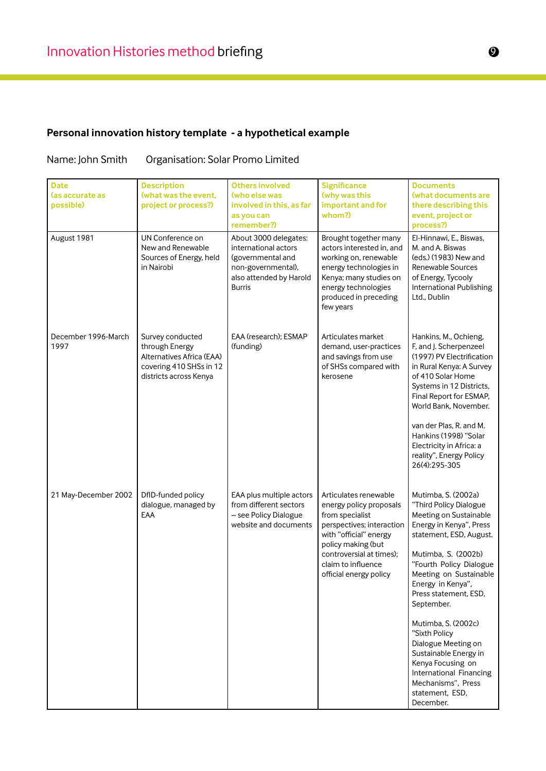## **Personal innovation history template - a hypothetical example**

#### Name: John Smith Organisation: Solar Promo Limited

| <b>Date</b><br>las accurate as<br>possible) | <b>Description</b><br>(what was the event,<br>project or process?)                                                   | <b>Others involved</b><br>(who else was<br>involved in this, as far<br>as you can<br>remember?)                                      | <b>Significance</b><br>(why was this<br>important and for<br>whom?)                                                                                                                                                          | <b>Documents</b><br><b>(what documents are</b><br>there describing this<br>event, project or<br>process?)                                                                                                                                                                                                                                                                                                                                                           |
|---------------------------------------------|----------------------------------------------------------------------------------------------------------------------|--------------------------------------------------------------------------------------------------------------------------------------|------------------------------------------------------------------------------------------------------------------------------------------------------------------------------------------------------------------------------|---------------------------------------------------------------------------------------------------------------------------------------------------------------------------------------------------------------------------------------------------------------------------------------------------------------------------------------------------------------------------------------------------------------------------------------------------------------------|
| August 1981                                 | UN Conference on<br>New and Renewable<br>Sources of Energy, held<br>in Nairobi                                       | About 3000 delegates:<br>international actors<br>(governmental and<br>non-governmental),<br>also attended by Harold<br><b>Burris</b> | Brought together many<br>actors interested in, and<br>working on, renewable<br>energy technologies in<br>Kenya; many studies on<br>energy technologies<br>produced in preceding<br>few years                                 | El-Hinnawi, E., Biswas,<br>M. and A. Biswas<br>(eds.) (1983) New and<br><b>Renewable Sources</b><br>of Energy, Tycooly<br>International Publishing<br>Ltd., Dublin                                                                                                                                                                                                                                                                                                  |
| December 1996-March<br>1997                 | Survey conducted<br>through Energy<br>Alternatives Africa (EAA)<br>covering 410 SHSs in 12<br>districts across Kenya | EAA (research); ESMAP<br>(funding)                                                                                                   | Articulates market<br>demand, user-practices<br>and savings from use<br>of SHSs compared with<br>kerosene                                                                                                                    | Hankins, M., Ochieng,<br>F, and J. Scherpenzeel<br>(1997) PV Electrification<br>in Rural Kenya: A Survey<br>of 410 Solar Home<br>Systems in 12 Districts,<br>Final Report for ESMAP,<br>World Bank, November.<br>van der Plas, R. and M.<br>Hankins (1998) "Solar<br>Electricity in Africa: a<br>reality", Energy Policy<br>26(4):295-305                                                                                                                           |
| 21 May-December 2002                        | DfID-funded policy<br>dialogue, managed by<br>EAA                                                                    | EAA plus multiple actors<br>from different sectors<br>- see Policy Dialogue<br>website and documents                                 | Articulates renewable<br>energy policy proposals<br>from specialist<br>perspectives; interaction<br>with "official" energy<br>policy making (but<br>controversial at times);<br>claim to influence<br>official energy policy | Mutimba, S. (2002a)<br>"Third Policy Dialogue<br>Meeting on Sustainable<br>Energy in Kenya", Press<br>statement, ESD, August.<br>Mutimba, S. (2002b)<br>"Fourth Policy Dialogue<br>Meeting on Sustainable<br>Energy in Kenya",<br>Press statement, ESD,<br>September.<br>Mutimba, S. (2002c)<br>"Sixth Policy<br>Dialogue Meeting on<br>Sustainable Energy in<br>Kenya Focusing on<br>International Financing<br>Mechanisms", Press<br>statement, ESD,<br>December. |